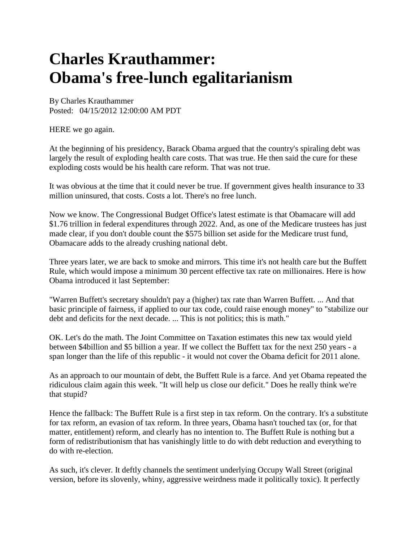## **Charles Krauthammer: Obama's free-lunch egalitarianism**

By Charles Krauthammer Posted: 04/15/2012 12:00:00 AM PDT

HERE we go again.

At the beginning of his presidency, Barack Obama argued that the country's spiraling debt was largely the result of exploding health care costs. That was true. He then said the cure for these exploding costs would be his health care reform. That was not true.

It was obvious at the time that it could never be true. If government gives health insurance to 33 million uninsured, that costs. Costs a lot. There's no free lunch.

Now we know. The Congressional Budget Office's latest estimate is that Obamacare will add \$1.76 trillion in federal expenditures through 2022. And, as one of the Medicare trustees has just made clear, if you don't double count the \$575 billion set aside for the Medicare trust fund, Obamacare adds to the already crushing national debt.

Three years later, we are back to smoke and mirrors. This time it's not health care but the Buffett Rule, which would impose a minimum 30 percent effective tax rate on millionaires. Here is how Obama introduced it last September:

"Warren Buffett's secretary shouldn't pay a (higher) tax rate than Warren Buffett. ... And that basic principle of fairness, if applied to our tax code, could raise enough money" to "stabilize our debt and deficits for the next decade. ... This is not politics; this is math."

OK. Let's do the math. The Joint Committee on Taxation estimates this new tax would yield between \$4billion and \$5 billion a year. If we collect the Buffett tax for the next 250 years - a span longer than the life of this republic - it would not cover the Obama deficit for 2011 alone.

As an approach to our mountain of debt, the Buffett Rule is a farce. And yet Obama repeated the ridiculous claim again this week. "It will help us close our deficit." Does he really think we're that stupid?

Hence the fallback: The Buffett Rule is a first step in tax reform. On the contrary. It's a substitute for tax reform, an evasion of tax reform. In three years, Obama hasn't touched tax (or, for that matter, entitlement) reform, and clearly has no intention to. The Buffett Rule is nothing but a form of redistributionism that has vanishingly little to do with debt reduction and everything to do with re-election.

As such, it's clever. It deftly channels the sentiment underlying Occupy Wall Street (original version, before its slovenly, whiny, aggressive weirdness made it politically toxic). It perfectly